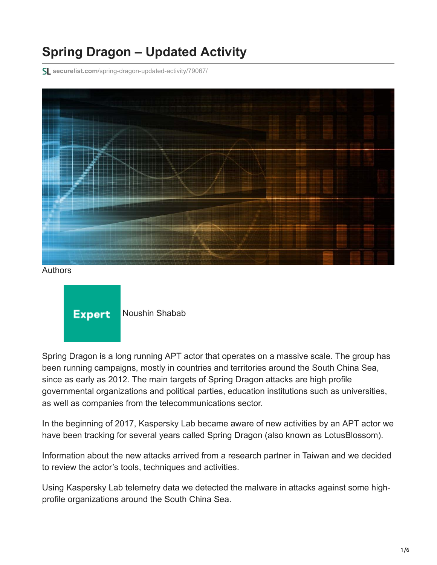# **Spring Dragon – Updated Activity**

**securelist.com**[/spring-dragon-updated-activity/79067/](https://securelist.com/spring-dragon-updated-activity/79067/)



Authors

**Expert** [Noushin Shabab](https://securelist.com/author/noushinshabab/)

Spring Dragon is a long running APT actor that operates on a massive scale. The group has been running campaigns, mostly in countries and territories around the South China Sea, since as early as 2012. The main targets of Spring Dragon attacks are high profile governmental organizations and political parties, education institutions such as universities, as well as companies from the telecommunications sector.

In the beginning of 2017, Kaspersky Lab became aware of new activities by an APT actor we have been tracking for several years called Spring Dragon (also known as LotusBlossom).

Information about the new attacks arrived from a research partner in Taiwan and we decided to review the actor's tools, techniques and activities.

Using Kaspersky Lab telemetry data we detected the malware in attacks against some highprofile organizations around the South China Sea.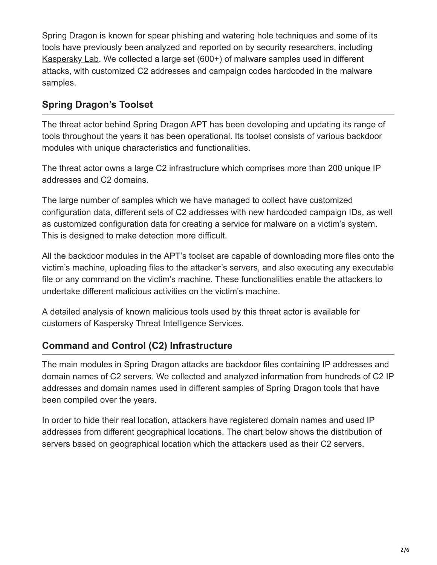Spring Dragon is known for spear phishing and watering hole techniques and some of its tools have previously been analyzed and reported on by security researchers, including [Kaspersky Lab](https://securelist.com/the-spring-dragon-apt/70726/). We collected a large set (600+) of malware samples used in different attacks, with customized C2 addresses and campaign codes hardcoded in the malware samples.

## **Spring Dragon's Toolset**

The threat actor behind Spring Dragon APT has been developing and updating its range of tools throughout the years it has been operational. Its toolset consists of various backdoor modules with unique characteristics and functionalities.

The threat actor owns a large C2 infrastructure which comprises more than 200 unique IP addresses and C2 domains.

The large number of samples which we have managed to collect have customized configuration data, different sets of C2 addresses with new hardcoded campaign IDs, as well as customized configuration data for creating a service for malware on a victim's system. This is designed to make detection more difficult.

All the backdoor modules in the APT's toolset are capable of downloading more files onto the victim's machine, uploading files to the attacker's servers, and also executing any executable file or any command on the victim's machine. These functionalities enable the attackers to undertake different malicious activities on the victim's machine.

A detailed analysis of known malicious tools used by this threat actor is available for customers of Kaspersky Threat Intelligence Services.

### **Command and Control (C2) Infrastructure**

The main modules in Spring Dragon attacks are backdoor files containing IP addresses and domain names of C2 servers. We collected and analyzed information from hundreds of C2 IP addresses and domain names used in different samples of Spring Dragon tools that have been compiled over the years.

In order to hide their real location, attackers have registered domain names and used IP addresses from different geographical locations. The chart below shows the distribution of servers based on geographical location which the attackers used as their C2 servers.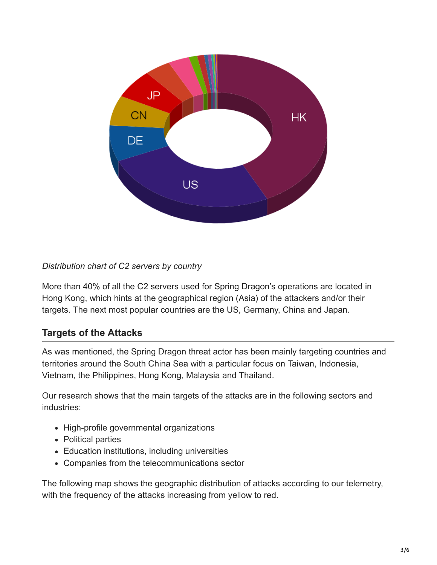

#### *Distribution chart of C2 servers by country*

More than 40% of all the C2 servers used for Spring Dragon's operations are located in Hong Kong, which hints at the geographical region (Asia) of the attackers and/or their targets. The next most popular countries are the US, Germany, China and Japan.

### **Targets of the Attacks**

As was mentioned, the Spring Dragon threat actor has been mainly targeting countries and territories around the South China Sea with a particular focus on Taiwan, Indonesia, Vietnam, the Philippines, Hong Kong, Malaysia and Thailand.

Our research shows that the main targets of the attacks are in the following sectors and industries:

- High-profile governmental organizations
- Political parties
- Education institutions, including universities
- Companies from the telecommunications sector

The following map shows the geographic distribution of attacks according to our telemetry, with the frequency of the attacks increasing from yellow to red.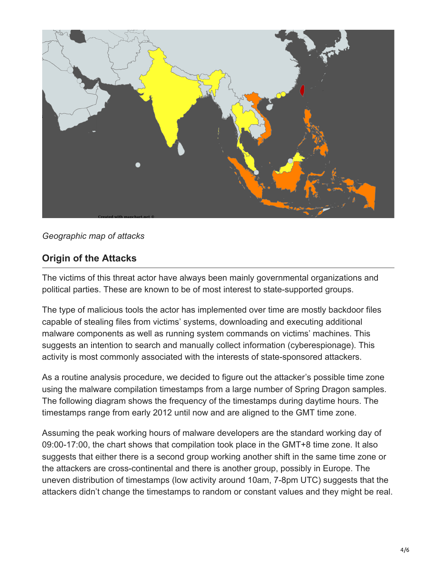![](_page_3_Picture_0.jpeg)

#### *Geographic map of attacks*

#### **Origin of the Attacks**

The victims of this threat actor have always been mainly governmental organizations and political parties. These are known to be of most interest to state-supported groups.

The type of malicious tools the actor has implemented over time are mostly backdoor files capable of stealing files from victims' systems, downloading and executing additional malware components as well as running system commands on victims' machines. This suggests an intention to search and manually collect information (cyberespionage). This activity is most commonly associated with the interests of state-sponsored attackers.

As a routine analysis procedure, we decided to figure out the attacker's possible time zone using the malware compilation timestamps from a large number of Spring Dragon samples. The following diagram shows the frequency of the timestamps during daytime hours. The timestamps range from early 2012 until now and are aligned to the GMT time zone.

Assuming the peak working hours of malware developers are the standard working day of 09:00-17:00, the chart shows that compilation took place in the GMT+8 time zone. It also suggests that either there is a second group working another shift in the same time zone or the attackers are cross-continental and there is another group, possibly in Europe. The uneven distribution of timestamps (low activity around 10am, 7-8pm UTC) suggests that the attackers didn't change the timestamps to random or constant values and they might be real.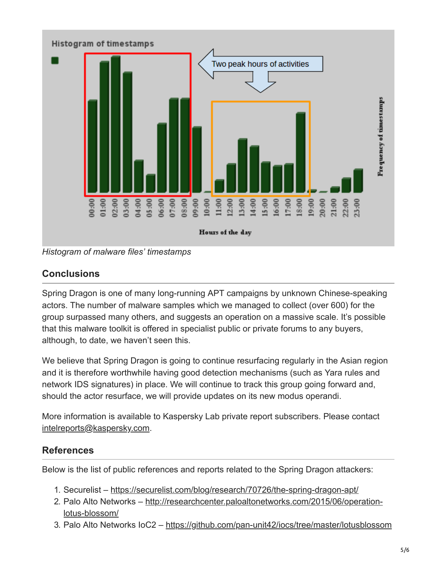![](_page_4_Figure_0.jpeg)

*Histogram of malware files' timestamps*

## **Conclusions**

Spring Dragon is one of many long-running APT campaigns by unknown Chinese-speaking actors. The number of malware samples which we managed to collect (over 600) for the group surpassed many others, and suggests an operation on a massive scale. It's possible that this malware toolkit is offered in specialist public or private forums to any buyers, although, to date, we haven't seen this.

We believe that Spring Dragon is going to continue resurfacing regularly in the Asian region and it is therefore worthwhile having good detection mechanisms (such as Yara rules and network IDS signatures) in place. We will continue to track this group going forward and, should the actor resurface, we will provide updates on its new modus operandi.

More information is available to Kaspersky Lab private report subscribers. Please contact [intelreports@kaspersky.com.](http://10.10.0.46/mailto:intelreports@kaspersky.com)

### **References**

Below is the list of public references and reports related to the Spring Dragon attackers:

- 1. Securelist <https://securelist.com/blog/research/70726/the-spring-dragon-apt/>
- 2. [Palo Alto Networks http://researchcenter.paloaltonetworks.com/2015/06/operation](http://researchcenter.paloaltonetworks.com/2015/06/operation-lotus-blossom/)lotus-blossom/
- 3. Palo Alto Networks IoC2 –<https://github.com/pan-unit42/iocs/tree/master/lotusblossom>